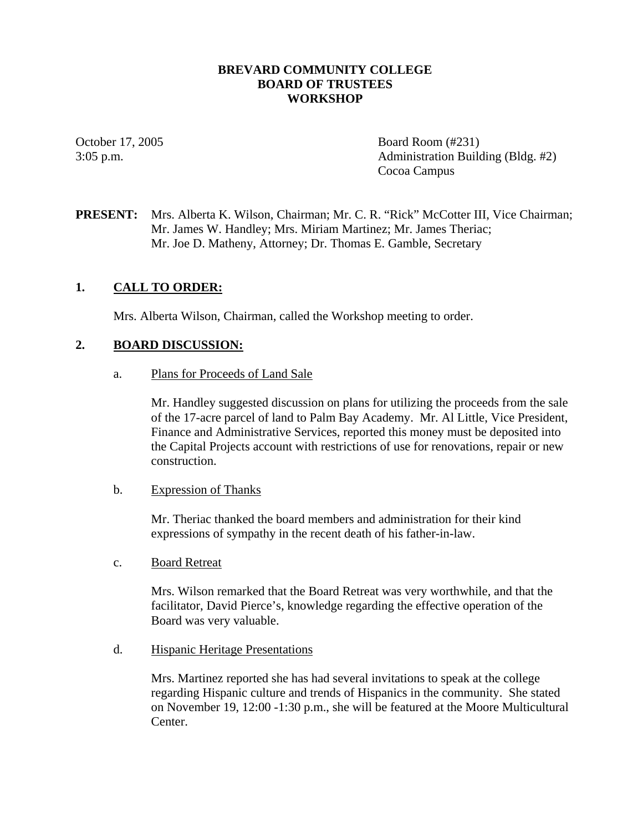### **BREVARD COMMUNITY COLLEGE BOARD OF TRUSTEES WORKSHOP**

October 17, 2005 Board Room (#231) 3:05 p.m. Administration Building (Bldg. #2) Cocoa Campus

**PRESENT:** Mrs. Alberta K. Wilson, Chairman; Mr. C. R. "Rick" McCotter III, Vice Chairman; Mr. James W. Handley; Mrs. Miriam Martinez; Mr. James Theriac; Mr. Joe D. Matheny, Attorney; Dr. Thomas E. Gamble, Secretary

### **1. CALL TO ORDER:**

Mrs. Alberta Wilson, Chairman, called the Workshop meeting to order.

#### **2. BOARD DISCUSSION:**

a. Plans for Proceeds of Land Sale

Mr. Handley suggested discussion on plans for utilizing the proceeds from the sale of the 17-acre parcel of land to Palm Bay Academy. Mr. Al Little, Vice President, Finance and Administrative Services, reported this money must be deposited into the Capital Projects account with restrictions of use for renovations, repair or new construction.

#### b. Expression of Thanks

Mr. Theriac thanked the board members and administration for their kind expressions of sympathy in the recent death of his father-in-law.

#### c. Board Retreat

Mrs. Wilson remarked that the Board Retreat was very worthwhile, and that the facilitator, David Pierce's, knowledge regarding the effective operation of the Board was very valuable.

d. Hispanic Heritage Presentations

Mrs. Martinez reported she has had several invitations to speak at the college regarding Hispanic culture and trends of Hispanics in the community. She stated on November 19, 12:00 -1:30 p.m., she will be featured at the Moore Multicultural Center.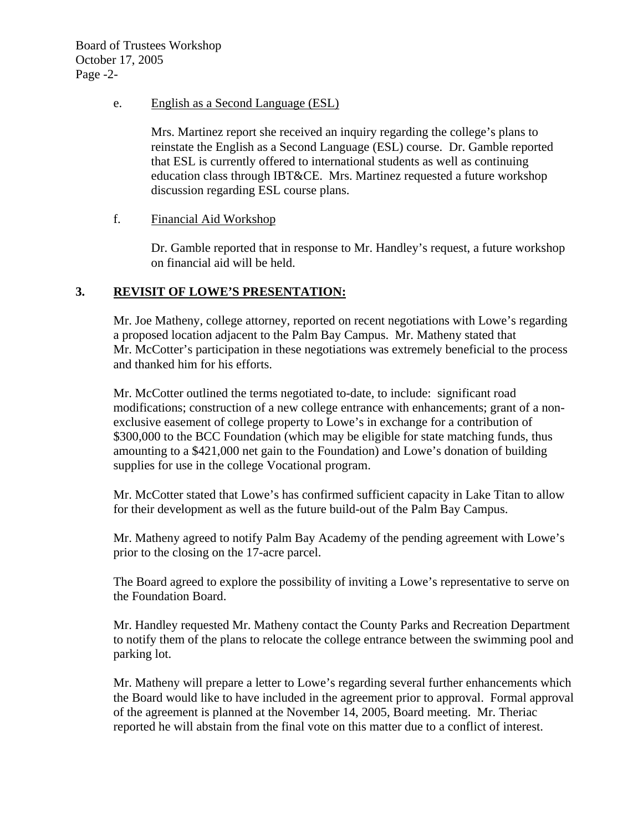Board of Trustees Workshop October 17, 2005 Page -2-

e. English as a Second Language (ESL)

Mrs. Martinez report she received an inquiry regarding the college's plans to reinstate the English as a Second Language (ESL) course. Dr. Gamble reported that ESL is currently offered to international students as well as continuing education class through IBT&CE. Mrs. Martinez requested a future workshop discussion regarding ESL course plans.

f. Financial Aid Workshop

Dr. Gamble reported that in response to Mr. Handley's request, a future workshop on financial aid will be held.

## **3. REVISIT OF LOWE'S PRESENTATION:**

Mr. Joe Matheny, college attorney, reported on recent negotiations with Lowe's regarding a proposed location adjacent to the Palm Bay Campus. Mr. Matheny stated that Mr. McCotter's participation in these negotiations was extremely beneficial to the process and thanked him for his efforts.

Mr. McCotter outlined the terms negotiated to-date, to include: significant road modifications; construction of a new college entrance with enhancements; grant of a nonexclusive easement of college property to Lowe's in exchange for a contribution of \$300,000 to the BCC Foundation (which may be eligible for state matching funds, thus amounting to a \$421,000 net gain to the Foundation) and Lowe's donation of building supplies for use in the college Vocational program.

Mr. McCotter stated that Lowe's has confirmed sufficient capacity in Lake Titan to allow for their development as well as the future build-out of the Palm Bay Campus.

Mr. Matheny agreed to notify Palm Bay Academy of the pending agreement with Lowe's prior to the closing on the 17-acre parcel.

The Board agreed to explore the possibility of inviting a Lowe's representative to serve on the Foundation Board.

Mr. Handley requested Mr. Matheny contact the County Parks and Recreation Department to notify them of the plans to relocate the college entrance between the swimming pool and parking lot.

Mr. Matheny will prepare a letter to Lowe's regarding several further enhancements which the Board would like to have included in the agreement prior to approval. Formal approval of the agreement is planned at the November 14, 2005, Board meeting. Mr. Theriac reported he will abstain from the final vote on this matter due to a conflict of interest.